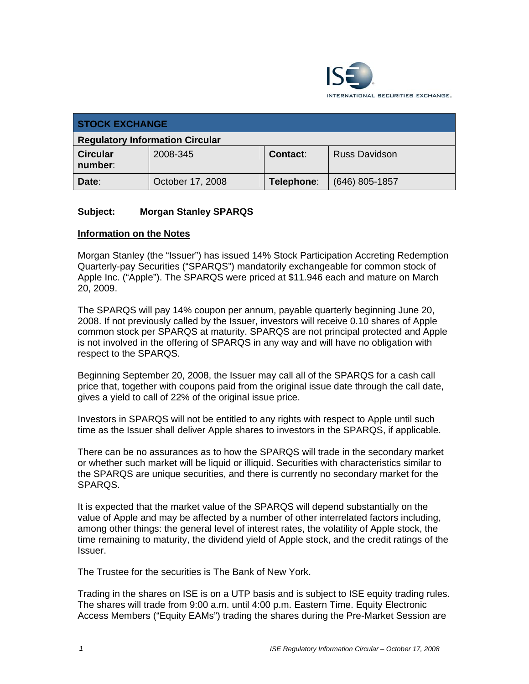

| <b>STOCK EXCHANGE</b>                  |                  |                 |                      |  |
|----------------------------------------|------------------|-----------------|----------------------|--|
| <b>Regulatory Information Circular</b> |                  |                 |                      |  |
| <b>Circular</b><br>number:             | 2008-345         | <b>Contact:</b> | <b>Russ Davidson</b> |  |
| Date:                                  | October 17, 2008 | Telephone:      | $(646)$ 805-1857     |  |

## **Subject: Morgan Stanley SPARQS**

## **Information on the Notes**

Morgan Stanley (the "Issuer") has issued 14% Stock Participation Accreting Redemption Quarterly-pay Securities ("SPARQS") mandatorily exchangeable for common stock of Apple Inc. ("Apple"). The SPARQS were priced at \$11.946 each and mature on March 20, 2009.

The SPARQS will pay 14% coupon per annum, payable quarterly beginning June 20, 2008. If not previously called by the Issuer, investors will receive 0.10 shares of Apple common stock per SPARQS at maturity. SPARQS are not principal protected and Apple is not involved in the offering of SPARQS in any way and will have no obligation with respect to the SPARQS.

Beginning September 20, 2008, the Issuer may call all of the SPARQS for a cash call price that, together with coupons paid from the original issue date through the call date, gives a yield to call of 22% of the original issue price.

Investors in SPARQS will not be entitled to any rights with respect to Apple until such time as the Issuer shall deliver Apple shares to investors in the SPARQS, if applicable.

There can be no assurances as to how the SPARQS will trade in the secondary market or whether such market will be liquid or illiquid. Securities with characteristics similar to the SPARQS are unique securities, and there is currently no secondary market for the SPARQS.

It is expected that the market value of the SPARQS will depend substantially on the value of Apple and may be affected by a number of other interrelated factors including, among other things: the general level of interest rates, the volatility of Apple stock, the time remaining to maturity, the dividend yield of Apple stock, and the credit ratings of the Issuer.

The Trustee for the securities is The Bank of New York.

Trading in the shares on ISE is on a UTP basis and is subject to ISE equity trading rules. The shares will trade from 9:00 a.m. until 4:00 p.m. Eastern Time. Equity Electronic Access Members ("Equity EAMs") trading the shares during the Pre-Market Session are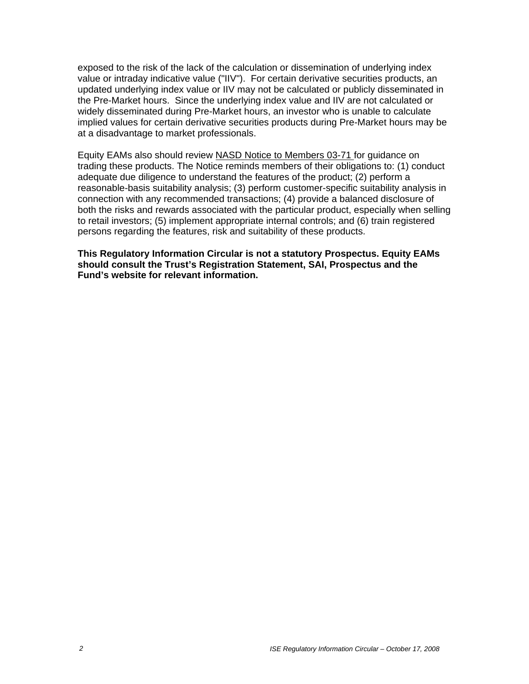exposed to the risk of the lack of the calculation or dissemination of underlying index value or intraday indicative value ("IIV"). For certain derivative securities products, an updated underlying index value or IIV may not be calculated or publicly disseminated in the Pre-Market hours. Since the underlying index value and IIV are not calculated or widely disseminated during Pre-Market hours, an investor who is unable to calculate implied values for certain derivative securities products during Pre-Market hours may be at a disadvantage to market professionals.

Equity EAMs also should review NASD Notice to Members 03-71 for guidance on trading these products. The Notice reminds members of their obligations to: (1) conduct adequate due diligence to understand the features of the product; (2) perform a reasonable-basis suitability analysis; (3) perform customer-specific suitability analysis in connection with any recommended transactions; (4) provide a balanced disclosure of both the risks and rewards associated with the particular product, especially when selling to retail investors; (5) implement appropriate internal controls; and (6) train registered persons regarding the features, risk and suitability of these products.

**This Regulatory Information Circular is not a statutory Prospectus. Equity EAMs should consult the Trust's Registration Statement, SAI, Prospectus and the Fund's website for relevant information.**